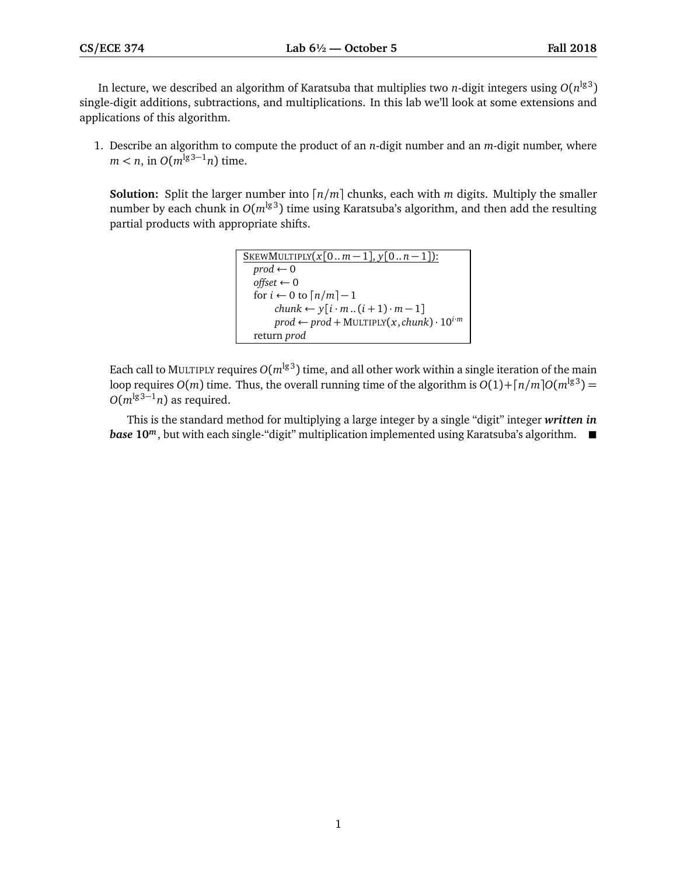In lecture, we described an algorithm of Karatsuba that multiplies two *n*-digit integers using  $O(n^{\lg 3})$ single-digit additions, subtractions, and multiplications. In this lab we'll look at some extensions and applications of this algorithm.

1. Describe an algorithm to compute the product of an *n*-digit number and an *m*-digit number, where  $m < n$ , in  $O(m^{\lg 3 - 1}n)$  time.

**Solution:** Split the larger number into  $\lceil n/m \rceil$  chunks, each with *m* digits. Multiply the smaller number by each chunk in  $O(m^{\lg 3})$  time using Karatsuba's algorithm, and then add the resulting partial products with appropriate shifts.

```
SKEWMULTIPLY(x[0..m-1], y[0..n-1]):
prod \leftarrow 0offset ← 0
 for i \leftarrow 0 to \lceil n/m \rceil - 1chunk \leftarrow y[i \cdot m..(i+1) \cdot m-1]\text{prod} \leftarrow \text{prod} + \text{MULTIPLY}(x, \text{chunk}) \cdot 10^{\text{i} \cdot \text{m}}return prod
```
Each call to MULTIPLY requires  $O(m^{\lg 3})$  time, and all other work within a single iteration of the main loop requires  $O(m)$  time. Thus, the overall running time of the algorithm is  $O(1) + \lceil n/m \rceil O(m^{\lg 3}) =$  $O(m^{\lg 3-1}n)$  as required.

This is the standard method for multiplying a large integer by a single "digit" integer *written in base* 10<sup>*m*</sup>, but with each single-"digit" multiplication implemented using Karatsuba's algorithm. ■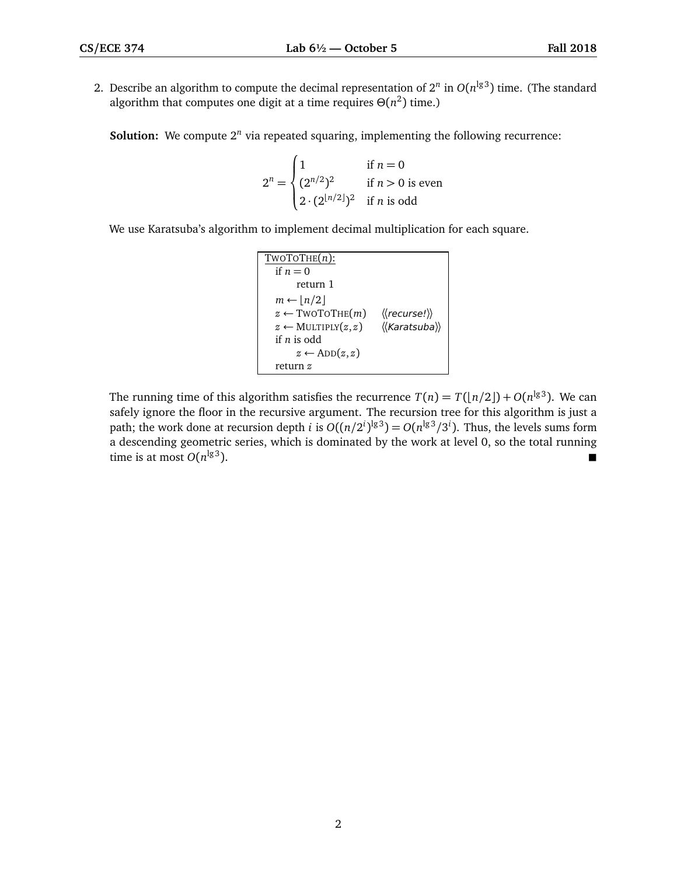2. Describe an algorithm to compute the decimal representation of  $2^n$  in  $O(n^{\lg 3})$  time. (The standard algorithm that computes one digit at a time requires  $\Theta(n^2)$  time.)

**Solution:** We compute 2<sup>*n*</sup> via repeated squaring, implementing the following recurrence:

$$
2^{n} = \begin{cases} 1 & \text{if } n = 0\\ (2^{n/2})^{2} & \text{if } n > 0 \text{ is even} \\ 2 \cdot (2^{\lfloor n/2 \rfloor})^{2} & \text{if } n \text{ is odd} \end{cases}
$$

We use Karatsuba's algorithm to implement decimal multiplication for each square.

| $TWOTOTHE(n)$ :                   |                                                   |
|-----------------------------------|---------------------------------------------------|
| if $n=0$                          |                                                   |
| return 1                          |                                                   |
| $m \leftarrow  n/2 $              |                                                   |
| $z \leftarrow \text{TWOTOTHE}(m)$ | $\langle \langle \text{recurse!} \rangle \rangle$ |
| $z \leftarrow$ MULTIPLY $(z, z)$  | $\langle\langle$ Karatsuba $\rangle\rangle$       |
| if $n$ is odd                     |                                                   |
| $z \leftarrow ADD(z, z)$          |                                                   |
| return z                          |                                                   |

The running time of this algorithm satisfies the recurrence  $T(n) = T(\lfloor n/2 \rfloor) + O(n^{\lg 3})$ . We can safely ignore the floor in the recursive argument. The recursion tree for this algorithm is just a path; the work done at recursion depth *i* is  $O((n/2^i)^{\lg 3}) = O(n^{\lg 3}/3^i)$ . Thus, the levels sums form a descending geometric series, which is dominated by the work at level 0, so the total running time is at most  $O(n^{\lg 3})$ .  $\frac{\lg 3}{\lg 3}$ .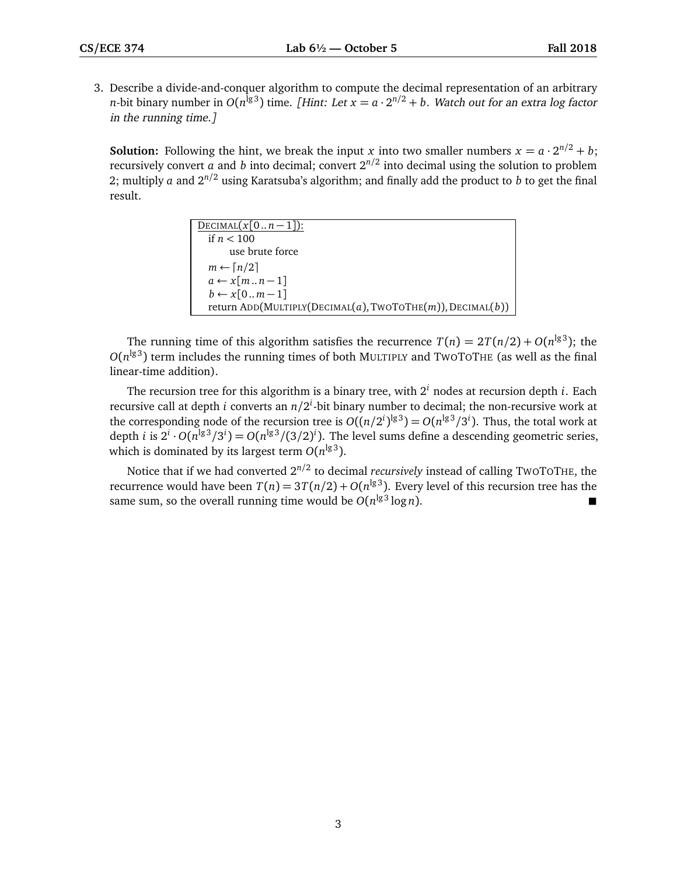3. Describe a divide-and-conquer algorithm to compute the decimal representation of an arbitrary *n*-bit binary number in  $O(n^{\lg 3})$  time. [Hint: Let  $x = a \cdot 2^{n/2} + b$ . Watch out for an extra log factor in the running time.]

**Solution:** Following the hint, we break the input *x* into two smaller numbers  $x = a \cdot 2^{n/2} + b$ ; recursively convert *a* and *b* into decimal; convert 2 *n/*2 into decimal using the solution to problem 2; multiply *a* and  $2^{n/2}$  using Karatsuba's algorithm; and finally add the product to *b* to get the final result.

| DECIMAL $(x[0n-1])$ :                                     |
|-----------------------------------------------------------|
| if $n < 100$                                              |
| use brute force                                           |
| $m \leftarrow \lceil n/2 \rceil$                          |
| $a \leftarrow x[mn-1]$                                    |
| $b \leftarrow x[0m-1]$                                    |
| return ADD(MULTIPLY(DECIMAL(a), TWOTOTHE(m)), DECIMAL(b)) |

The running time of this algorithm satisfies the recurrence  $T(n) = 2T(n/2) + O(n^{\lg 3})$ ; the  $O(n^{\lg 3})$  term includes the running times of both MULTIPLY and TWOTOTHE (as well as the final linear-time addition).

The recursion tree for this algorithm is a binary tree, with 2 *<sup>i</sup>* nodes at recursion depth *i*. Each recursive call at depth *i* converts an  $n/2^i$ -bit binary number to decimal; the non-recursive work at the corresponding node of the recursion tree is  $O((n/2^i)^{\lg 3}) = O(n^{\lg 3}/3^i)$ . Thus, the total work at depth *i* is  $2^i \cdot O(n^{\lg 3}/3^i) = O(n^{\lg 3}/(3/2)^i)$ . The level sums define a descending geometric series, which is dominated by its largest term  $O(n^{\lg 3})$ .

Notice that if we had converted 2 *n/*2 to decimal *recursively* instead of calling TWOTOTHE, the recurrence would have been  $T(n) = 3T(n/2) + O(n^{\lg 3})$ . Every level of this recursion tree has the same sum, so the overall running time would be  $O(n^{\lg 3} \log n)$ .